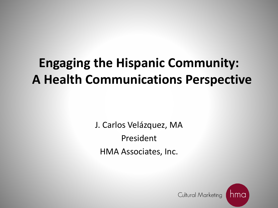### **Engaging the Hispanic Community: A Health Communications Perspective**

J. Carlos Velázquez, MA President HMA Associates, Inc.

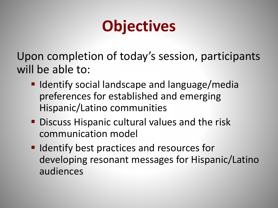# **Objectives**

Upon completion of today's session, participants will be able to:

- $\blacksquare$  Identify social landscape and language/media preferences for established and emerging Hispanic/Latino communities
- **Discuss Hispanic cultural values and the risk** communication model
- **IDENTIFY DEST practices and resources for** developing resonant messages for Hispanic/Latino audiences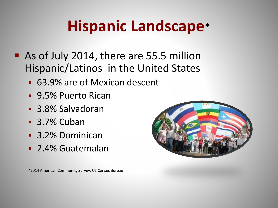# **Hispanic Landscape**\*

- As of July 2014, there are 55.5 million Hispanic/Latinos in the United States
	- 63.9% are of Mexican descent
	- 9.5% Puerto Rican
	- 3.8% Salvadoran
	- **3.7% Cuban**
	- 3.2% Dominican
	- 2.4% Guatemalan



\*2014 American Community Survey, US Census Bureau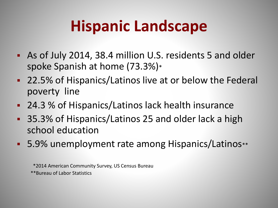## **Hispanic Landscape**

- As of July 2014, 38.4 million U.S. residents 5 and older spoke Spanish at home (73.3%)\*
- 22.5% of Hispanics/Latinos live at or below the Federal poverty line
- 24.3 % of Hispanics/Latinos lack health insurance
- 35.3% of Hispanics/Latinos 25 and older lack a high school education
- 5.9% unemployment rate among Hispanics/Latinos\*\*

\*2014 American Community Survey, US Census Bureau \*\*Bureau of Labor Statistics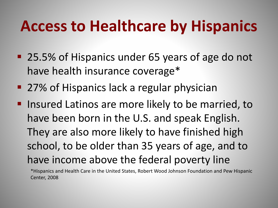### **Access to Healthcare by Hispanics**

- 25.5% of Hispanics under 65 years of age do not have health insurance coverage\*
- 27% of Hispanics lack a regular physician
- **If** Insured Latinos are more likely to be married, to have been born in the U.S. and speak English. They are also more likely to have finished high school, to be older than 35 years of age, and to have income above the federal poverty line

\*Hispanics and Health Care in the United States, Robert Wood Johnson Foundation and Pew Hispanic Center, 2008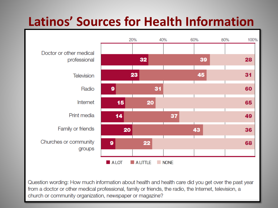### **Latinos' Sources for Health Information**



Question wording: How much information about health and health care did you get over the past year from a doctor or other medical professional, family or friends, the radio, the Internet, television, a church or community organization, newspaper or magazine?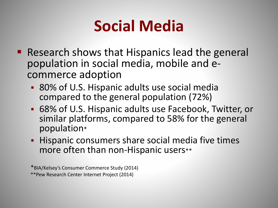## **Social Media**

- **Research shows that Hispanics lead the general** population in social media, mobile and ecommerce adoption
	- 80% of U.S. Hispanic adults use social media compared to the general population (72%)
	- 68% of U.S. Hispanic adults use Facebook, Twitter, or similar platforms, compared to 58% for the general population\*
	- **Hispanic consumers share social media five times** more often than non-Hispanic users\*\*

\*BIA/Kelsey's Consumer Commerce Study (2014) \*\*Pew Research Center Internet Project (2014)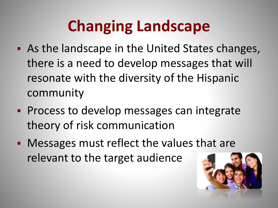# **Changing Landscape**

- As the landscape in the United States changes, there is a need to develop messages that will resonate with the diversity of the Hispanic community
- **Process to develop messages can integrate** theory of risk communication
- **Messages must reflect the values that are** relevant to the target audience

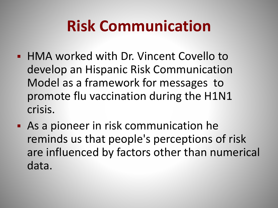- HMA worked with Dr. Vincent Covello to develop an Hispanic Risk Communication Model as a framework for messages to promote flu vaccination during the H1N1 crisis.
- As a pioneer in risk communication he reminds us that people's perceptions of risk are influenced by factors other than numerical data.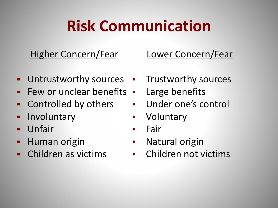### Higher Concern/Fear

### **Untrustworthy sources**

- $\blacksquare$  Few or unclear benefits  $\blacksquare$
- **EXECONTROLLED CONTROLLED FIGURE**
- **Involuntary**
- Unfair
- **-** Human origin
- Children as victims

### Lower Concern/Fear

- **EXECUTE:** Trustworthy sources
	- Large benefits
	- Under one's control
	- **•** Voluntary
	- **Fair**
	- **Natural origin**
	- Children not victims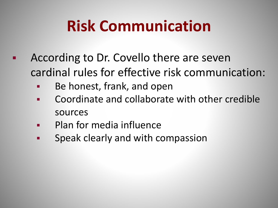- According to Dr. Covello there are seven cardinal rules for effective risk communication:
	- Be honest, frank, and open
	- **EXECO** Coordinate and collaborate with other credible sources
	- Plan for media influence
	- **EXE** Speak clearly and with compassion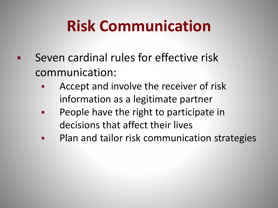- **Seven cardinal rules for effective risk** communication:
	- **Accept and involve the receiver of risk** information as a legitimate partner
	- **People have the right to participate in** decisions that affect their lives
	- **Plan and tailor risk communication strategies**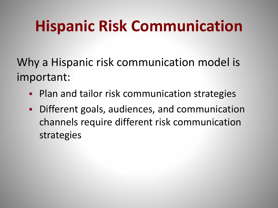## **Hispanic Risk Communication**

Why a Hispanic risk communication model is important:

- Plan and tailor risk communication strategies
- Different goals, audiences, and communication channels require different risk communication strategies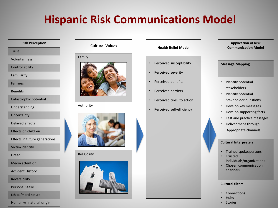### **Hispanic Risk Communications Model**

#### **Risk Perception**

**Trust** 

Voluntariness

**Controllability** 

Familiarity

Fairness

**Benefits** 

```
Catastrophic potential
```
Understanding

Uncertainty

Delayed effects

Effects on children

Effects in future generations

Victim identity

Dread

Media attention

Accident History

Reversibility

Personal Stake

Ethical/moral nature

#### Human vs. natural origin

#### **Cultural Values**

#### Family



Authority



Religiosity



#### **Health Belief Model**

- Perceived susceptibility
- Perceived severity
- Perceived benefits
- Perceived barriers
- Perceived cues to action
- Perceived self-efficiency

**Application of Risk Communication Model** 

#### **Message Mapping**

- Identify potential stakeholders
- Identify potential Stakeholder questions
- Develop key messages
- Develop supporting facts
- Test and practice messages
- Deliver maps through Appropriate channels

#### **Cultural Interpreters**

- Trained spokespersons
- **Trusted** individuals/organizations
- Chosen communication channels

#### **Cultural filters**

- **Connections**
- Hubs
- **Stories**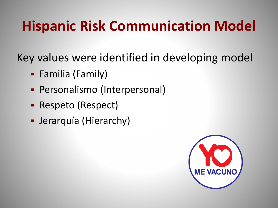### **Hispanic Risk Communication Model**

Key values were identified in developing model

- Familia (Family)
- Personalismo (Interpersonal)
- Respeto (Respect)
- Jerarquía (Hierarchy)

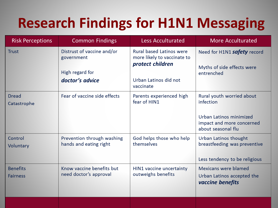### **Research Findings for H1N1 Messaging**

| <b>Risk Perceptions</b>            | <b>Common Findings</b>                                                         | <b>Less Acculturated</b>                                                                                                 | <b>More Acculturated</b>                                                                                             |
|------------------------------------|--------------------------------------------------------------------------------|--------------------------------------------------------------------------------------------------------------------------|----------------------------------------------------------------------------------------------------------------------|
| <b>Trust</b>                       | Distrust of vaccine and/or<br>government<br>High regard for<br>doctor's advice | <b>Rural based Latinos were</b><br>more likely to vaccinate to<br>protect children<br>Urban Latinos did not<br>vaccinate | Need for H1N1 safety record<br>Myths of side effects were<br>entrenched                                              |
| <b>Dread</b><br>Catastrophe        | Fear of vaccine side effects                                                   | Parents experienced high<br>fear of HIN1                                                                                 | Rural youth worried about<br>infection<br>Urban Latinos minimized<br>impact and more concerned<br>about seasonal flu |
| Control<br>Voluntary               | Prevention through washing<br>hands and eating right                           | God helps those who help<br>themselves                                                                                   | Urban Latinos thought<br>breastfeeding was preventive<br>Less tendency to be religious                               |
| <b>Benefits</b><br><b>Fairness</b> | Know vaccine benefits but<br>need doctor's approval                            | HIN1 vaccine uncertainty<br>outweighs benefits                                                                           | Mexicans were blamed<br>Urban Latinos accepted the<br>vaccine benefits                                               |
|                                    |                                                                                |                                                                                                                          |                                                                                                                      |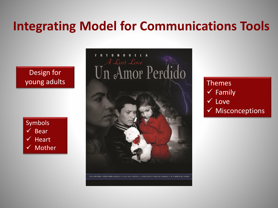### **Integrating Model for Communications Tools**

### Design for young adults





### Themes  $\checkmark$  Family Love  $\checkmark$  Misconceptions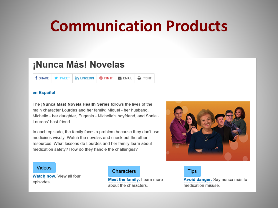### **Communication Products**

### ¡Nunca Más! Novelas

**f** SHARF **W** TWFFT in **INKEDIN @PINIT**  $\blacktriangleright$  FMAIL  $\rightarrow$  PRINT

#### en Español

The ¡Nunca Más! Novela Health Series follows the lives of the main character Lourdes and her family: Miguel - her husband, Michelle - her daughter, Eugenio - Michelle's boyfriend, and Sonia -Lourdes' best friend

In each episode, the family faces a problem because they don't use medicines wisely. Watch the novelas and check out the other resources. What lessons do Lourdes and her family learn about medication safety? How do they handle the challenges?



#### **Videos**

Watch now. View all four episodes.

#### Characters

Meet the family. Learn more about the characters.

**Tips** 

Avoid danger. Say nunca más to medication misuse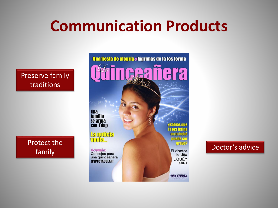### **Communication Products**

### Preserve family traditions

Protect the

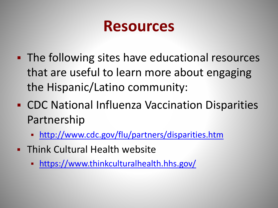### **Resources**

- The following sites have educational resources that are useful to learn more about engaging the Hispanic/Latino community:
- CDC National Influenza Vaccination Disparities Partnership
	- <http://www.cdc.gov/flu/partners/disparities.htm>
- **FRING Cultural Health website** 
	- <https://www.thinkculturalhealth.hhs.gov/>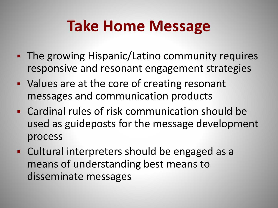### **Take Home Message**

- **The growing Hispanic/Latino community requires** responsive and resonant engagement strategies
- **Values are at the core of creating resonant** messages and communication products
- Cardinal rules of risk communication should be used as guideposts for the message development process
- Cultural interpreters should be engaged as a means of understanding best means to disseminate messages